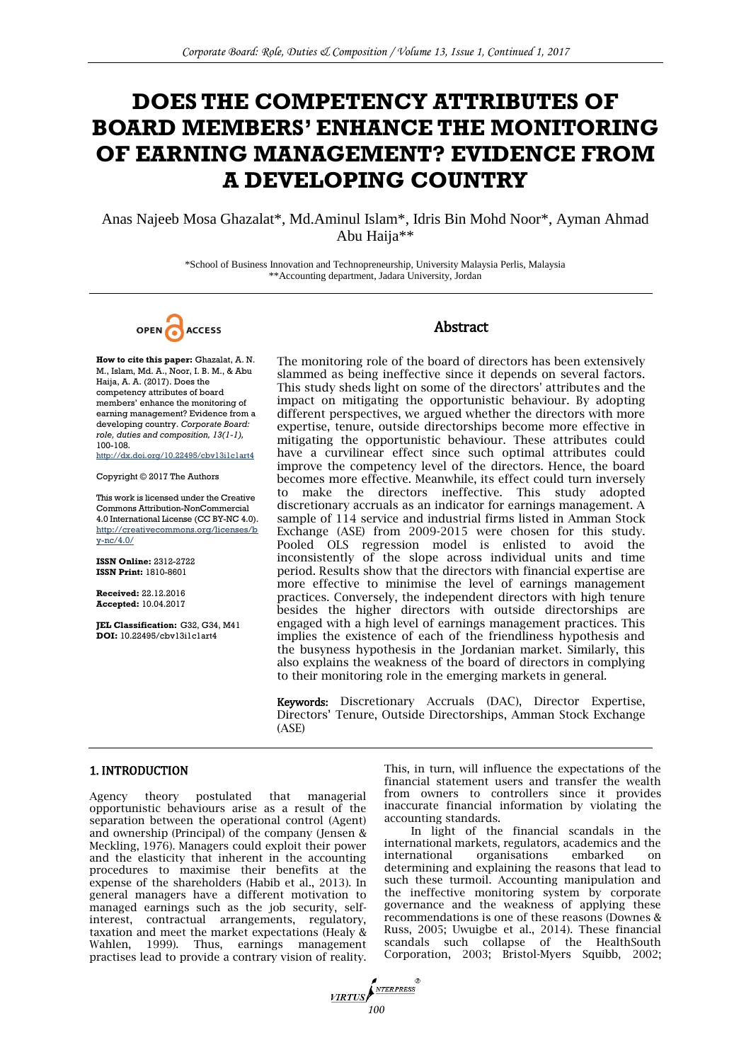# **DOES THE COMPETENCY ATTRIBUTES OF BOARD MEMBERS' ENHANCE THE MONITORING OF EARNING MANAGEMENT? EVIDENCE FROM A DEVELOPING COUNTRY**

Anas Najeeb Mosa Ghazalat\*, Md.Aminul Islam\*, Idris Bin Mohd Noor\*, Ayman Ahmad Abu Haija\*\*

> \*School of Business Innovation and Technopreneurship, University Malaysia Perlis, Malaysia \*\*Accounting department, Jadara University, Jordan



## **Abstract**

**How to cite this paper:** Ghazalat, A. N. M., Islam, Md. A., Noor, I. B. M., & Abu Haija, A. A. (2017). Does the competency attributes of board members' enhance the monitoring of earning management? Evidence from a developing country. *Corporate Board: role, duties and composition, 13(1-1),*  100-108. http://dx.doi.org/10.22495/cbv13i1c1art4

Copyright © 2017 The Authors

This work is licensed under the Creative Commons Attribution-NonCommercial 4.0 International License (CC BY-NC 4.0). [http://creativecommons.org/licenses/b](http://creativecommons.org/licenses/by-nc/4.0/) [y-nc/4.0/](http://creativecommons.org/licenses/by-nc/4.0/)

**ISSN Online:** 2312-2722 **ISSN Print:** 1810-8601

**Received:** 22.12.2016 **Accepted:** 10.04.2017

**JEL Classification:** G32, G34, M41 **DOI:** 10.22495/cbv13i1c1art4

The monitoring role of the board of directors has been extensively slammed as being ineffective since it depends on several factors. This study sheds light on some of the directors' attributes and the impact on mitigating the opportunistic behaviour. By adopting different perspectives, we argued whether the directors with more expertise, tenure, outside directorships become more effective in mitigating the opportunistic behaviour. These attributes could have a curvilinear effect since such optimal attributes could improve the competency level of the directors. Hence, the board becomes more effective. Meanwhile, its effect could turn inversely to make the directors ineffective. This study adopted discretionary accruals as an indicator for earnings management. A sample of 114 service and industrial firms listed in Amman Stock Exchange (ASE) from 2009-2015 were chosen for this study. Pooled OLS regression model is enlisted to avoid the inconsistently of the slope across individual units and time period. Results show that the directors with financial expertise are more effective to minimise the level of earnings management practices. Conversely, the independent directors with high tenure besides the higher directors with outside directorships are engaged with a high level of earnings management practices. This implies the existence of each of the friendliness hypothesis and the busyness hypothesis in the Jordanian market. Similarly, this also explains the weakness of the board of directors in complying to their monitoring role in the emerging markets in general.

Keywords: Discretionary Accruals (DAC), Director Expertise, Directors' Tenure, Outside Directorships, Amman Stock Exchange (ASE)

## 1. INTRODUCTION

Agency theory postulated that managerial opportunistic behaviours arise as a result of the separation between the operational control (Agent) and ownership (Principal) of the company [\(Jensen &](#page--1-0)  [Meckling, 1976\)](#page--1-0). Managers could exploit their power and the elasticity that inherent in the accounting procedures to maximise their benefits at the expense of the shareholders [\(Habib et al., 2013\)](#page--1-0). In general managers have a different motivation to managed earnings such as the job security, selfinterest, contractual arrangements, regulatory, taxation and meet the market expectations [\(Healy &](#page--1-0)  [Wahlen, 1999\)](#page--1-0). Thus, earnings management practises lead to provide a contrary vision of reality. This, in turn, will influence the expectations of the financial statement users and transfer the wealth from owners to controllers since it provides inaccurate financial information by violating the accounting standards.

In light of the financial scandals in the international markets, regulators, academics and the international organisations embarked on determining and explaining the reasons that lead to such these turmoil. Accounting manipulation and the ineffective monitoring system by corporate governance and the weakness of applying these recommendations is one of these reasons [\(Downes &](#page--1-0)  [Russ, 2005;](#page--1-0) [Uwuigbe et al., 2014\).](#page--1-0) These financial scandals such collapse of the HealthSouth Corporation, 2003; Bristol-Myers Squibb, 2002;

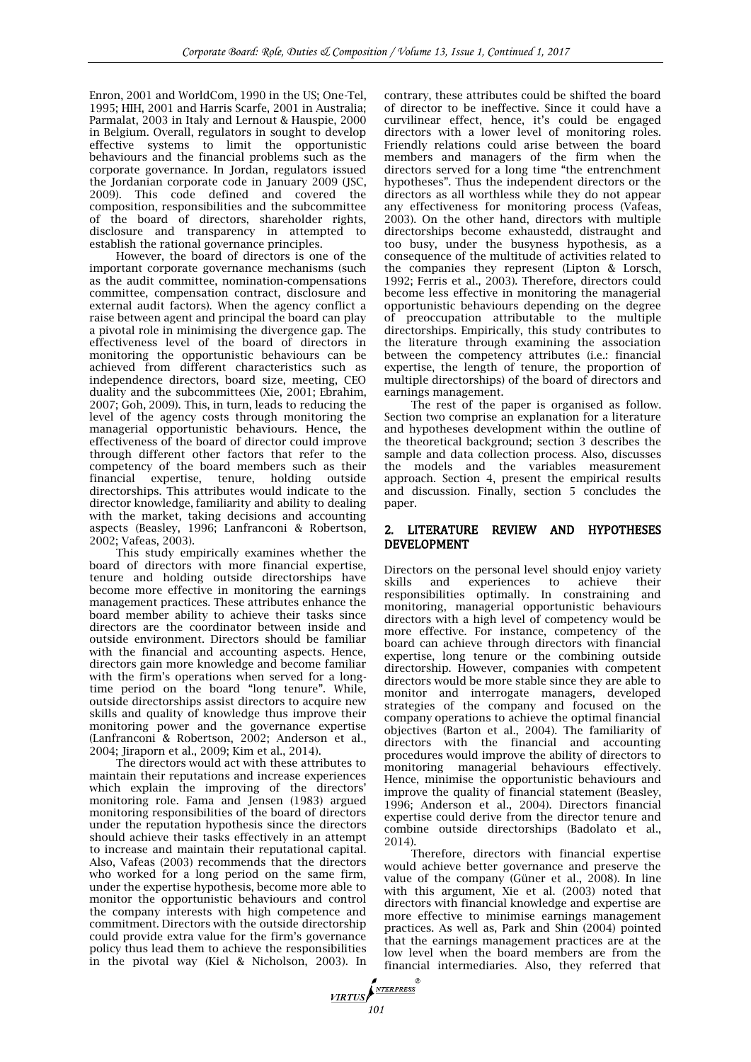Enron, 2001 and WorldCom, 1990 in the US; One-Tel, 1995; HIH, 2001 and Harris Scarfe, 2001 in Australia; Parmalat, 2003 in Italy and Lernout & Hauspie, 2000 in Belgium. Overall, regulators in sought to develop effective systems to limit the opportunistic behaviours and the financial problems such as the corporate governance. In Jordan, regulators issued the Jordanian corporate code in January 2009 [\(JSC,](#page--1-0)  [2009\)](#page--1-0). This code defined and covered the composition, responsibilities and the subcommittee of the board of directors, shareholder rights, disclosure and transparency in attempted to establish the rational governance principles.

However, the board of directors is one of the important corporate governance mechanisms (such as the audit committee, nomination-compensations committee, compensation contract, disclosure and external audit factors). When the agency conflict a raise between agent and principal the board can play a pivotal role in minimising the divergence gap. The effectiveness level of the board of directors in monitoring the opportunistic behaviours can be achieved from different characteristics such as independence directors, board size, meeting, CEO duality and the subcommittees [\(Xie, 2001; Ebrahim,](#page--1-0)  [2007; Goh, 2009\)](#page--1-0). This, in turn, leads to reducing the level of the agency costs through monitoring the managerial opportunistic behaviours. Hence, the effectiveness of the board of director could improve through different other factors that refer to the competency of the board members such as their financial expertise, tenure, holding outside directorships. This attributes would indicate to the director knowledge, familiarity and ability to dealing with the market, taking decisions and accounting aspects [\(Beasley, 1996; Lanfranconi & Robertson,](#page--1-0)  [2002; Vafeas, 2003\)](#page--1-0).

This study empirically examines whether the board of directors with more financial expertise, tenure and holding outside directorships have become more effective in monitoring the earnings management practices. These attributes enhance the board member ability to achieve their tasks since directors are the coordinator between inside and outside environment. Directors should be familiar with the financial and accounting aspects. Hence, directors gain more knowledge and become familiar with the firm's operations when served for a longtime period on the board "long tenure". While, outside directorships assist directors to acquire new skills and quality of knowledge thus improve their monitoring power and the governance expertise [\(Lanfranconi & Robertson, 2002; Anderson et al.,](#page--1-0)  [2004; Jiraporn et al., 2009; Kim et al., 2014\)](#page--1-0).

The directors would act with these attributes to maintain their reputations and increase experiences which explain the improving of the directors' monitoring role. [Fama and Jensen \(1983\)](#page--1-0) argued monitoring responsibilities of the board of directors under the reputation hypothesis since the directors should achieve their tasks effectively in an attempt to increase and maintain their reputational capital. Also, [Vafeas \(2003\)](#page--1-0) recommends that the directors who worked for a long period on the same firm, under the expertise hypothesis, become more able to monitor the opportunistic behaviours and control the company interests with high competence and commitment. Directors with the outside directorship could provide extra value for the firm's governance policy thus lead them to achieve the responsibilities in the pivotal way [\(Kiel & Nicholson, 2003\)](#page--1-0). In contrary, these attributes could be shifted the board of director to be ineffective. Since it could have a curvilinear effect, hence, it's could be engaged directors with a lower level of monitoring roles. Friendly relations could arise between the board members and managers of the firm when the directors served for a long time "the entrenchment hypotheses". Thus the independent directors or the directors as all worthless while they do not appear any effectiveness for monitoring process [\(Vafeas,](#page--1-0)  [2003\)](#page--1-0). On the other hand, directors with multiple directorships become exhaustedd, distraught and too busy, under the busyness hypothesis, as a consequence of the multitude of activities related to the companies they represent [\(Lipton & Lorsch,](#page--1-0)  [1992; Ferris et al., 2003\)](#page--1-0). Therefore, directors could become less effective in monitoring the managerial opportunistic behaviours depending on the degree of preoccupation attributable to the multiple directorships. Empirically, this study contributes to the literature through examining the association between the competency attributes (i.e.: financial expertise, the length of tenure, the proportion of multiple directorships) of the board of directors and earnings management.

The rest of the paper is organised as follow. Section two comprise an explanation for a literature and hypotheses development within the outline of the theoretical background; section 3 describes the sample and data collection process. Also, discusses the models and the variables measurement approach. Section 4, present the empirical results and discussion. Finally, section 5 concludes the paper.

## 2. LITERATURE REVIEW AND HYPOTHESES DEVELOPMENT

Directors on the personal level should enjoy variety skills and experiences to achieve their responsibilities optimally. In constraining and monitoring, managerial opportunistic behaviours directors with a high level of competency would be more effective. For instance, competency of the board can achieve through directors with financial expertise, long tenure or the combining outside directorship. However, companies with competent directors would be more stable since they are able to monitor and interrogate managers, developed strategies of the company and focused on the company operations to achieve the optimal financial objectives [\(Barton et al., 2004\)](#page--1-0). The familiarity of directors with the financial and accounting procedures would improve the ability of directors to monitoring managerial behaviours effectively. Hence, minimise the opportunistic behaviours and improve the quality of financial statement [\(Beasley,](#page--1-0)  [1996; Anderson et al., 2004\)](#page--1-0). Directors financial expertise could derive from the director tenure and combine outside directorships [\(Badolato et al.,](#page--1-0)  [2014\)](#page--1-0).

Therefore, directors with financial expertise would achieve better governance and preserve the value of the company [\(Güner et al., 2008\)](#page--1-0). In line with this argument, [Xie et al. \(2003\)](#page--1-0) noted that directors with financial knowledge and expertise are more effective to minimise earnings management practices. As well as, [Park and Shin \(2004\)](#page--1-0) pointed that the earnings management practices are at the low level when the board members are from the financial intermediaries. Also, they referred that

**VIRTUS**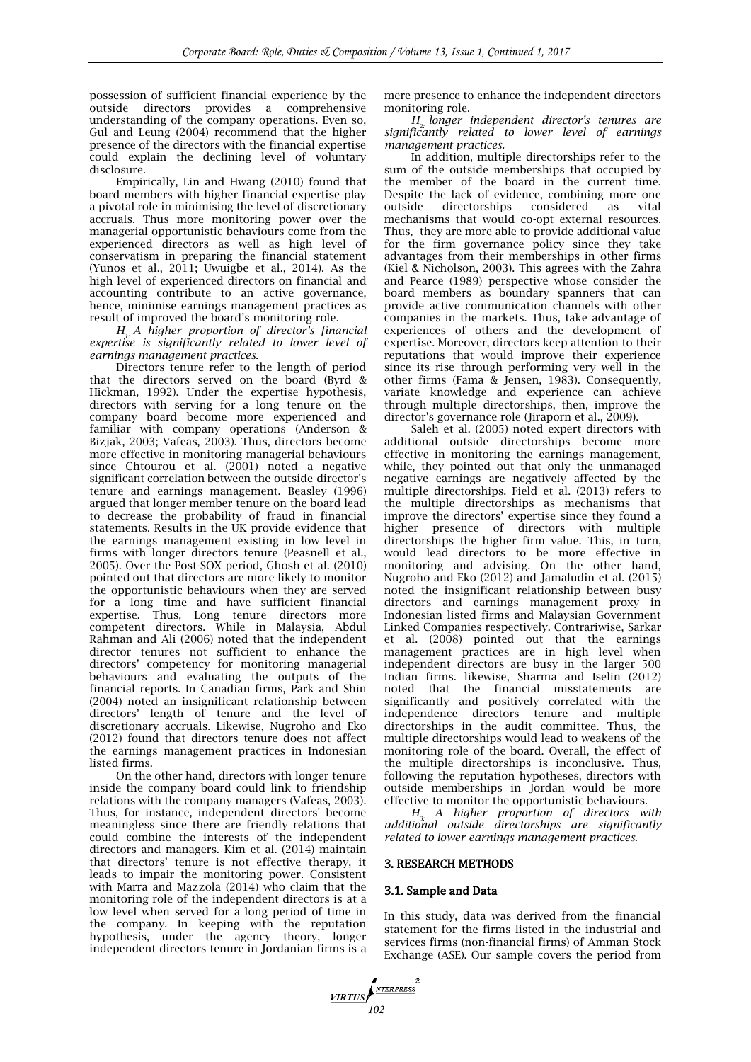possession of sufficient financial experience by the outside directors provides a comprehensive understanding of the company operations. Even so, [Gul and Leung \(2004\)](#page--1-0) recommend that the higher presence of the directors with the financial expertise could explain the declining level of voluntary disclosure.

Empirically, [Lin and Hwang \(2010\)](#page--1-0) found that board members with higher financial expertise play a pivotal role in minimising the level of discretionary accruals. Thus more monitoring power over the managerial opportunistic behaviours come from the experienced directors as well as high level of conservatism in preparing the financial statement [\(Yunos et al., 2011; Uwuigbe et al., 2014\)](#page--1-0). As the high level of experienced directors on financial and accounting contribute to an active governance, hence, minimise earnings management practices as result of improved the board's monitoring role.

*H1: A higher proportion of director's financial expertise is significantly related to lower level of earnings management practices.*

Directors tenure refer to the length of period that the directors served on the board [\(Byrd &](#page--1-0)  [Hickman, 1992\)](#page--1-0). Under the expertise hypothesis, directors with serving for a long tenure on the company board become more experienced and familiar with company operations (Anderson & [Bizjak, 2003; Vafeas, 2003\)](#page--1-0). Thus, directors become more effective in monitoring managerial behaviours since [Chtourou et al. \(2001\)](#page--1-0) noted a negative significant correlation between the outside director's tenure and earnings management. [Beasley \(1996\)](#page--1-0) argued that longer member tenure on the board lead to decrease the probability of fraud in financial statements. Results in the UK provide evidence that the earnings management existing in low level in firms with longer directors tenure [\(Peasnell et al.,](#page--1-0)  [2005\)](#page--1-0). Over the Post-SOX period, [Ghosh et al. \(2010\)](#page--1-0) pointed out that directors are more likely to monitor the opportunistic behaviours when they are served for a long time and have sufficient financial expertise. Thus, Long tenure directors more competent directors. While in Malaysia, [Abdul](#page--1-0)  Rahman and Ali (2006) noted that the independent director tenures not sufficient to enhance the directors' competency for monitoring managerial behaviours and evaluating the outputs of the financial reports. In Canadian firms, [Park and Shin](#page--1-0)  (2004) noted an insignificant relationship between directors' length of tenure and the level of discretionary accruals. Likewise, [Nugroho and Eko](#page--1-0)  (2012) found that directors tenure does not affect the earnings management practices in Indonesian listed firms.

On the other hand, directors with longer tenure inside the company board could link to friendship relations with the company managers [\(Vafeas, 2003\)](#page--1-0). Thus, for instance, independent directors' become meaningless since there are friendly relations that could combine the interests of the independent directors and managers. [Kim et al. \(2014\)](#page--1-0) maintain that directors' tenure is not effective therapy, it leads to impair the monitoring power. Consistent with [Marra and Mazzola \(2014\)](#page--1-0) who claim that the monitoring role of the independent directors is at a low level when served for a long period of time in the company. In keeping with the reputation hypothesis, under the agency theory, longer independent directors tenure in Jordanian firms is a mere presence to enhance the independent directors monitoring role.

*H2: longer independent director's tenures are significantly related to lower level of earnings management practices.*

In addition, multiple directorships refer to the sum of the outside memberships that occupied by the member of the board in the current time. Despite the lack of evidence, combining more one outside directorships considered as vital mechanisms that would co-opt external resources. Thus, they are more able to provide additional value for the firm governance policy since they take advantages from their memberships in other firms [\(Kiel & Nicholson, 2003\)](#page--1-0). This agrees with the [Zahra](#page--1-0)  and Pearce (1989) perspective whose consider the board members as boundary spanners that can provide active communication channels with other companies in the markets. Thus, take advantage of experiences of others and the development of expertise. Moreover, directors keep attention to their reputations that would improve their experience since its rise through performing very well in the other firms [\(Fama & Jensen, 1983\).](#page--1-0) Consequently, variate knowledge and experience can achieve through multiple directorships, then, improve the director's governance role [\(Jiraporn et al., 2009\)](#page--1-0).

[Saleh et al. \(2005\)](#page--1-0) noted expert directors with additional outside directorships become more effective in monitoring the earnings management, while, they pointed out that only the unmanaged negative earnings are negatively affected by the multiple directorships. [Field et al. \(2013\)](#page--1-0) refers to the multiple directorships as mechanisms that improve the directors' expertise since they found a higher presence of directors with multiple directorships the higher firm value. This, in turn, would lead directors to be more effective in monitoring and advising. On the other hand, [Nugroho and Eko \(2012\)](#page--1-0) and [Jamaludin et al. \(2015\)](#page--1-0) noted the insignificant relationship between busy directors and earnings management proxy in Indonesian listed firms and Malaysian Government Linked Companies respectively. Contrariwise, [Sarkar](#page--1-0)  et al. (2008) pointed out that the earnings management practices are in high level when independent directors are busy in the larger 500 Indian firms. likewise, [Sharma and Iselin \(2012\)](#page--1-0) noted that the financial misstatements are significantly and positively correlated with the independence directors tenure and multiple directorships in the audit committee. Thus, the multiple directorships would lead to weakens of the monitoring role of the board. Overall, the effect of the multiple directorships is inconclusive. Thus, following the reputation hypotheses, directors with outside memberships in Jordan would be more effective to monitor the opportunistic behaviours.

*H3: A higher proportion of directors with additional outside directorships are significantly related to lower earnings management practices.*

## 3. RESEARCH METHODS

## 3.1. Sample and Data

In this study, data was derived from the financial statement for the firms listed in the industrial and services firms (non-financial firms) of Amman Stock Exchange (ASE). Our sample covers the period from

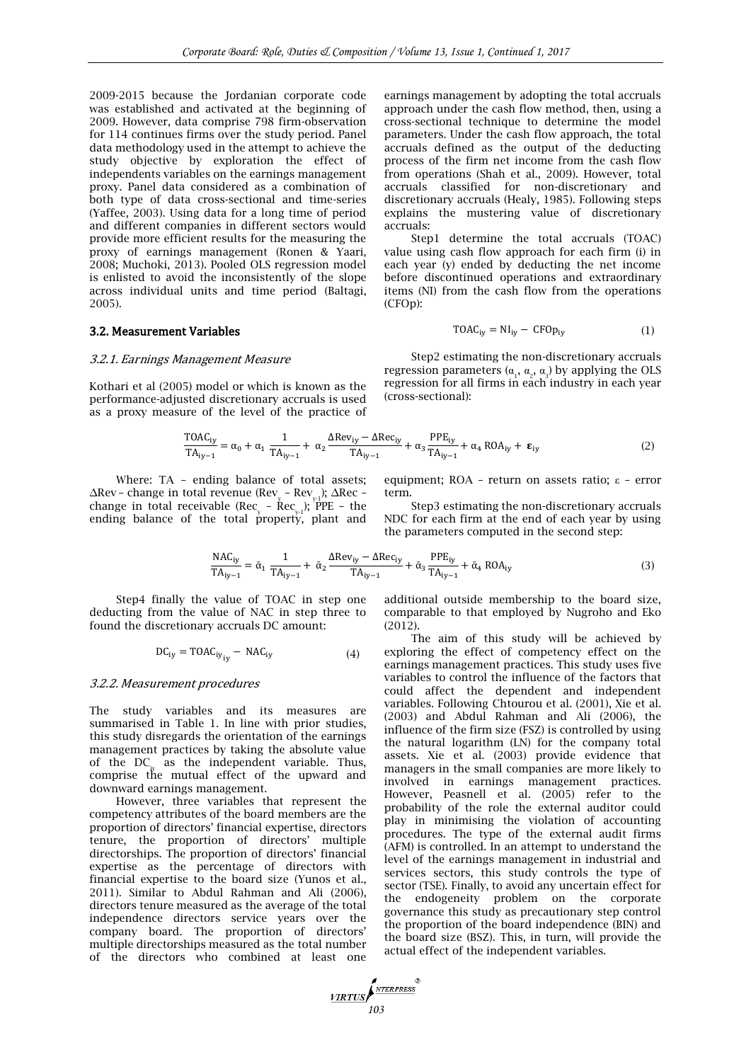2009-2015 because the Jordanian corporate code was established and activated at the beginning of 2009. However, data comprise 798 firm-observation for 114 continues firms over the study period. Panel data methodology used in the attempt to achieve the study objective by exploration the effect of independents variables on the earnings management proxy. Panel data considered as a combination of both type of data cross-sectional and time-series [\(Yaffee, 2003\).](#page--1-0) Using data for a long time of period and different companies in different sectors would provide more efficient results for the measuring the proxy of earnings management [\(Ronen & Yaari,](#page--1-0)  [2008; Muchoki, 2013\)](#page--1-0). Pooled OLS regression model is enlisted to avoid the inconsistently of the slope across individual units and time period [\(Baltagi,](#page--1-0)  [2005\)](#page--1-0).

#### 3.2. Measurement Variables

#### 3.2.1. Earnings Management Measure

Kothari et al (2005) model or which is known as the performance-adjusted discretionary accruals is used as a proxy measure of the level of the practice of

$$
\frac{\text{TOAC}_{iy}}{\text{TA}_{iy-1}} = \alpha_0 + \alpha_1 \frac{1}{\text{TA}_{iy-1}} + \alpha_2 \frac{\Delta \text{Rev}_{iy} - \Delta \text{Rec}_{iy}}{\text{TA}_{iy-1}} + \alpha_3 \frac{\text{PPE}_{iy}}{\text{TA}_{iy-1}} + \alpha_4 \text{ROA}_{iy} + \epsilon_{iy}
$$
(2)

(cross-sectional):

accruals:

(CFOp):

Where: TA – ending balance of total assets;  $\Delta$ Rev – change in total revenue (Rev<sub>y</sub> – Rev<sub>y-1</sub>);  $\Delta$ Rec – change in total receivable (Rec – Rec –); PPE – the ending balance of the total property, plant and

equipment; ROA – return on assets ratio; ε – error term.

earnings management by adopting the total accruals approach under the cash flow method, then, using a cross-sectional technique to determine the model parameters. Under the cash flow approach, the total accruals defined as the output of the deducting process of the firm net income from the cash flow from operations [\(Shah et al., 2009\)](#page--1-0). However, total accruals classified for non-discretionary and discretionary accruals [\(Healy, 1985\)](#page--1-0). Following steps explains the mustering value of discretionary

Step1 determine the total accruals (TOAC) value using cash flow approach for each firm (i) in each year (y) ended by deducting the net income before discontinued operations and extraordinary items (NI) from the cash flow from the operations

 $TOAC_{iy} = NI_{iy} - CFOp_{iy}$  (1)

Step2 estimating the non-discretionary accruals regression parameters  $(α<sub>1</sub>, α<sub>2</sub>, α<sub>3</sub>)$  by applying the OLS regression for all firms in each industry in each year

Step3 estimating the non-discretionary accruals NDC for each firm at the end of each year by using the parameters computed in the second step:

$$
\frac{\text{NAC}_{\text{iy}}}{\text{TA}_{\text{iv}-1}} = \bar{\alpha}_1 \frac{1}{\text{TA}_{\text{iv}-1}} + \bar{\alpha}_2 \frac{\text{ARev}_{\text{iy}} - \text{ARec}_{\text{iy}}}{\text{TA}_{\text{iv}-1}} + \bar{\alpha}_3 \frac{\text{PPE}_{\text{iy}}}{\text{TA}_{\text{iv}-1}} + \bar{\alpha}_4 \text{ROA}_{\text{iy}}
$$
(3)

Step4 finally the value of TOAC in step one deducting from the value of NAC in step three to found the discretionary accruals DC amount:

$$
DC_{iy} = TOAC_{iy_{iy}} - NAC_{iy}
$$
 (4)

#### 3.2.2. Measurement procedures

The study variables and its measures are summarised in Table 1. In line with prior studies, this study disregards the orientation of the earnings management practices by taking the absolute value of the  $DC_{iy}$  as the independent variable. Thus, comprise the mutual effect of the upward and downward earnings management.

However, three variables that represent the competency attributes of the board members are the proportion of directors' financial expertise, directors tenure, the proportion of directors' multiple directorships. The proportion of directors' financial expertise as the percentage of directors with financial expertise to the board size [\(Yunos et al.,](#page--1-0)  [2011\)](#page--1-0). Similar to [Abdul Rahman and Ali \(2006\),](#page--1-0)  directors tenure measured as the average of the total independence directors service years over the company board. The proportion of directors' multiple directorships measured as the total number of the directors who combined at least one additional outside membership to the board size, comparable to that employed by [Nugroho and Eko](#page--1-0)  (2012).

The aim of this study will be achieved by exploring the effect of competency effect on the earnings management practices. This study uses five variables to control the influence of the factors that could affect the dependent and independent variables. Following [Chtourou et al. \(2001\), Xie et al.](#page--1-0)  (2003) and [Abdul Rahman and Ali \(2006\),](#page--1-0) the influence of the firm size (FSZ) is controlled by using the natural logarithm (LN) for the company total assets. [Xie et al. \(2003\)](#page--1-0) provide evidence that managers in the small companies are more likely to involved in earnings management practices. However, [Peasnell et al. \(2005\)](#page--1-0) refer to the probability of the role the external auditor could play in minimising the violation of accounting procedures. The type of the external audit firms (AFM) is controlled. In an attempt to understand the level of the earnings management in industrial and services sectors, this study controls the type of sector (TSE). Finally, to avoid any uncertain effect for the endogeneity problem on the corporate governance this study as precautionary step control the proportion of the board independence (BIN) and the board size (BSZ). This, in turn, will provide the actual effect of the independent variables.

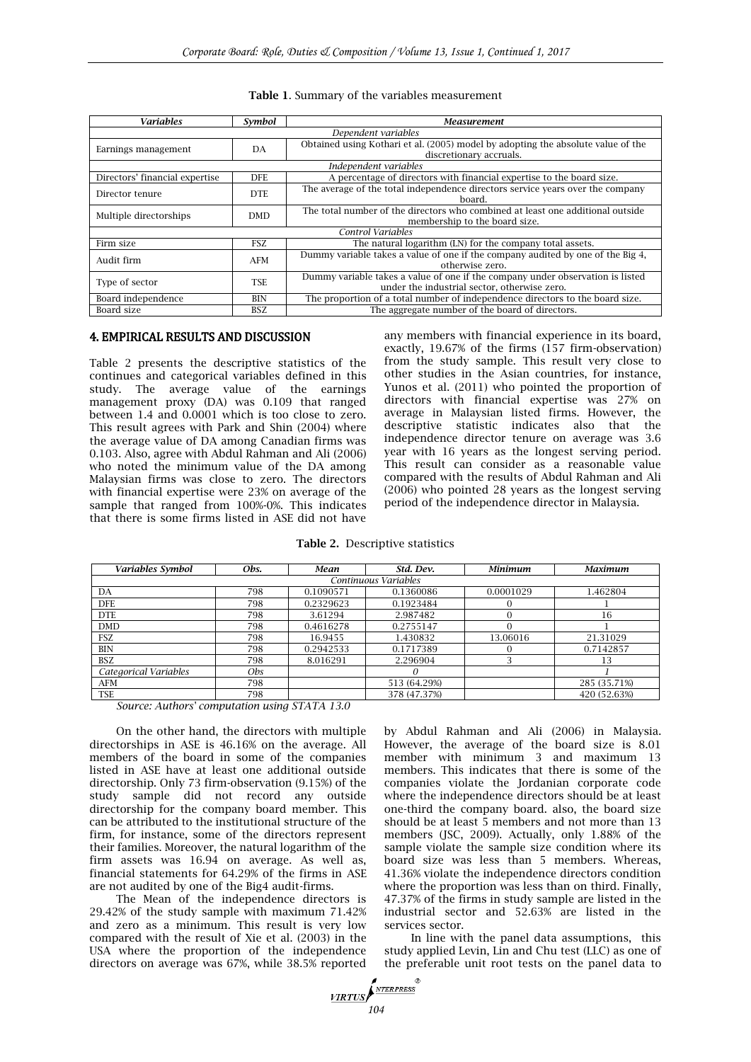| <b>Variables</b>               | Symbol     | <b>Measurement</b>                                                                                                             |  |  |  |  |
|--------------------------------|------------|--------------------------------------------------------------------------------------------------------------------------------|--|--|--|--|
| Dependent variables            |            |                                                                                                                                |  |  |  |  |
| Earnings management            | DA         | Obtained using Kothari et al. (2005) model by adopting the absolute value of the<br>discretionary accruals.                    |  |  |  |  |
| Independent variables          |            |                                                                                                                                |  |  |  |  |
| Directors' financial expertise | <b>DFE</b> | A percentage of directors with financial expertise to the board size.                                                          |  |  |  |  |
| Director tenure                | DTE.       | The average of the total independence directors service years over the company<br>board.                                       |  |  |  |  |
| Multiple directorships         | <b>DMD</b> | The total number of the directors who combined at least one additional outside<br>membership to the board size.                |  |  |  |  |
| Control Variables              |            |                                                                                                                                |  |  |  |  |
| Firm size                      | <b>FSZ</b> | The natural logarithm (LN) for the company total assets.                                                                       |  |  |  |  |
| Audit firm                     | AFM        | Dummy variable takes a value of one if the company audited by one of the Big 4,<br>otherwise zero.                             |  |  |  |  |
| Type of sector                 | <b>TSE</b> | Dummy variable takes a value of one if the company under observation is listed<br>under the industrial sector, otherwise zero. |  |  |  |  |
| Board independence             | BIN        | The proportion of a total number of independence directors to the board size.                                                  |  |  |  |  |
| Board size                     | BSZ.       | The aggregate number of the board of directors.                                                                                |  |  |  |  |

## **Table 1**. Summary of the variables measurement

## 4. EMPIRICAL RESULTS AND DISCUSSION

Table 2 presents the descriptive statistics of the continues and categorical variables defined in this study. The average value of the earnings management proxy (DA) was 0.109 that ranged between 1.4 and 0.0001 which is too close to zero. This result agrees with [Park and Shin \(2004\)](#page--1-0) where the average value of DA among Canadian firms was 0.103. Also, agree with [Abdul Rahman and Ali \(2006\)](#page--1-0) who noted the minimum value of the DA among Malaysian firms was close to zero. The directors with financial expertise were 23% on average of the sample that ranged from 100%-0%. This indicates that there is some firms listed in ASE did not have

any members with financial experience in its board, exactly, 19.67% of the firms (157 firm-observation) from the study sample. This result very close to other studies in the Asian countries, for instance, [Yunos et al. \(2011\)](#page--1-0) who pointed the proportion of directors with financial expertise was 27% on average in Malaysian listed firms. However, the descriptive statistic indicates also that the independence director tenure on average was 3.6 year with 16 years as the longest serving period. This result can consider as a reasonable value compared with the results of [Abdul Rahman and Ali](#page--1-0)  (2006) who pointed 28 years as the longest serving period of the independence director in Malaysia.

| Variables Symbol                 | Obs. | Mean              | Std. Dev.    | <b>Minimum</b> | <b>Maximum</b> |  |  |
|----------------------------------|------|-------------------|--------------|----------------|----------------|--|--|
| Continuous Variables             |      |                   |              |                |                |  |  |
| DA                               | 798  | 0.1090571         | 0.1360086    | 0.0001029      | 1.462804       |  |  |
| <b>DFE</b>                       | 798  | 0.2329623         | 0.1923484    |                |                |  |  |
| <b>DTE</b>                       | 798  | 3.61294           | 2.987482     |                | 16             |  |  |
| <b>DMD</b>                       | 798  | 0.4616278         | 0.2755147    |                |                |  |  |
| <b>FSZ</b>                       | 798  | 16.9455           | 1.430832     | 13.06016       | 21.31029       |  |  |
| BIN                              | 798  | 0.2942533         | 0.1717389    |                | 0.7142857      |  |  |
| <b>BSZ</b>                       | 798  | 8.016291          | 2.296904     |                | 13             |  |  |
| Categorical Variables            | Obs. |                   | $\theta$     |                |                |  |  |
| AFM                              | 798  |                   | 513 (64.29%) |                | 285 (35.71%)   |  |  |
| <b>TSE</b><br>$\sim$<br>$\cdots$ | 798  | $QCD + QCD + QCD$ | 378 (47.37%) |                | 420 (52.63%)   |  |  |

**Table 2.** Descriptive statistics

*Source: Authors' computation using STATA 13.0*

On the other hand, the directors with multiple directorships in ASE is 46.16% on the average. All members of the board in some of the companies listed in ASE have at least one additional outside directorship. Only 73 firm-observation (9.15%) of the study sample did not record any outside directorship for the company board member. This can be attributed to the institutional structure of the firm, for instance, some of the directors represent their families. Moreover, the natural logarithm of the firm assets was 16.94 on average. As well as, financial statements for 64.29% of the firms in ASE are not audited by one of the Big4 audit-firms.

The Mean of the independence directors is 29.42% of the study sample with maximum 71.42% and zero as a minimum. This result is very low compared with the result of [Xie et al. \(2003\)](#page--1-0) in the USA where the proportion of the independence directors on average was 67%, while 38.5% reported by [Abdul Rahman and Ali \(2006\)](#page--1-0) in Malaysia. However, the average of the board size is 8.01 member with minimum 3 and maximum 13 members. This indicates that there is some of the companies violate the Jordanian corporate code where the independence directors should be at least one-third the company board. also, the board size should be at least 5 members and not more than 13 members [\(JSC, 2009\).](#page--1-0) Actually, only 1.88% of the sample violate the sample size condition where its board size was less than 5 members. Whereas, 41.36% violate the independence directors condition where the proportion was less than on third. Finally, 47.37% of the firms in study sample are listed in the industrial sector and 52.63% are listed in the services sector.

In line with the panel data assumptions, this study applied Levin, Lin and Chu test (LLC) as one of the preferable unit root tests on the panel data to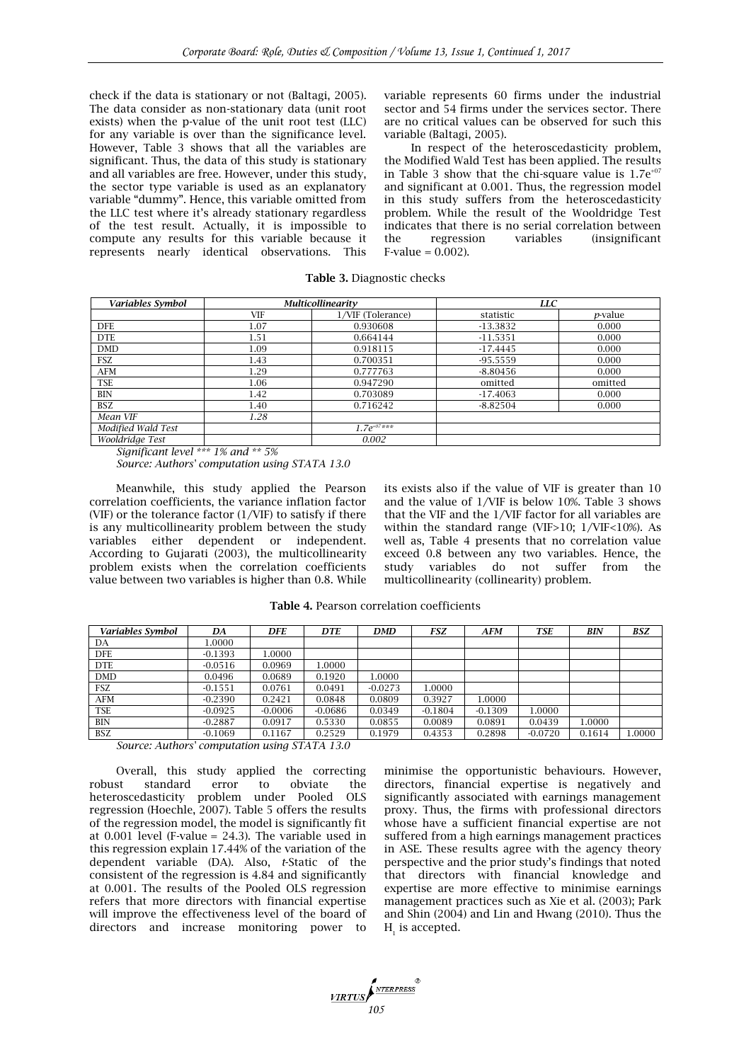check if the data is stationary or not [\(Baltagi, 2005\)](#page--1-0). The data consider as non-stationary data (unit root exists) when the p-value of the unit root test (LLC) for any variable is over than the significance level. However, Table 3 shows that all the variables are significant. Thus, the data of this study is stationary and all variables are free. However, under this study, the sector type variable is used as an explanatory variable "dummy". Hence, this variable omitted from the LLC test where it's already stationary regardless of the test result. Actually, it is impossible to compute any results for this variable because it represents nearly identical observations. This

variable represents 60 firms under the industrial sector and 54 firms under the services sector. There are no critical values can be observed for such this variable [\(Baltagi, 2005\)](#page--1-0).

In respect of the heteroscedasticity problem, the Modified Wald Test has been applied. The results in Table 3 show that the chi-square value is  $1.7e^{+07}$ and significant at 0.001. Thus, the regression model in this study suffers from the heteroscedasticity problem. While the result of the Wooldridge Test indicates that there is no serial correlation between the regression variables (insignificant  $F-value = 0.002$ ).

| Variables Symbol   |      | <b>Multicollinearity</b> | <b>LLC</b> |                 |  |
|--------------------|------|--------------------------|------------|-----------------|--|
|                    | VIF  | 1/VIF (Tolerance)        | statistic  | <i>p</i> -value |  |
| <b>DFE</b>         | 1.07 | 0.930608                 | $-13.3832$ | 0.000           |  |
| <b>DTE</b>         | 1.51 | 0.664144                 | $-11.5351$ | 0.000           |  |
| <b>DMD</b>         | 1.09 | 0.918115                 | $-17.4445$ | 0.000           |  |
| <b>FSZ</b>         | 1.43 | 0.700351                 | $-95.5559$ | 0.000           |  |
| AFM                | 1.29 | 0.777763                 | $-8.80456$ | 0.000           |  |
| <b>TSE</b>         | 1.06 | 0.947290                 | omitted    | omitted         |  |
| BIN                | 1.42 | 0.703089                 | $-17.4063$ | 0.000           |  |
| <b>BSZ</b>         | 1.40 | 0.716242                 | $-8.82504$ | 0.000           |  |
| Mean VIF           | 1.28 |                          |            |                 |  |
| Modified Wald Test |      | $1.7e^{+07**}$           |            |                 |  |
| Wooldridge Test    |      | 0.002                    |            |                 |  |

**Table 3.** Diagnostic checks

*Significant level \*\*\* 1% and \*\* 5%*

*Source: Authors' computation using STATA 13.0*

Meanwhile, this study applied the Pearson correlation coefficients, the variance inflation factor (VIF) or the tolerance factor  $(1/VIF)$  to satisfy if there is any multicollinearity problem between the study variables either dependent or independent. According to [Gujarati \(2003\),](#page--1-0) the multicollinearity problem exists when the correlation coefficients value between two variables is higher than 0.8. While its exists also if the value of VIF is greater than 10 and the value of 1/VIF is below 10%. Table 3 shows that the VIF and the 1/VIF factor for all variables are within the standard range (VIF>10; 1/VIF<10%). As well as, Table 4 presents that no correlation value exceed 0.8 between any two variables. Hence, the study variables do not suffer from the multicollinearity (collinearity) problem.

**Table 4.** Pearson correlation coefficients

| Variables Symbol | DA        | <b>DFE</b> | <b>DTE</b> | <b>DMD</b> | <b>FSZ</b> | AFM       | <b>TSE</b> | BIN    | <b>BSZ</b> |
|------------------|-----------|------------|------------|------------|------------|-----------|------------|--------|------------|
| DA               | L.0000    |            |            |            |            |           |            |        |            |
| <b>DFE</b>       | $-0.1393$ | 1.0000     |            |            |            |           |            |        |            |
| <b>DTE</b>       | $-0.0516$ | 0.0969     | .0000      |            |            |           |            |        |            |
| <b>DMD</b>       | 0.0496    | 0.0689     | 0.1920     | 1.0000     |            |           |            |        |            |
| <b>FSZ</b>       | $-0.1551$ | 0.0761     | 0.0491     | $-0.0273$  | .0000      |           |            |        |            |
| AFM              | $-0.2390$ | 0.2421     | 0.0848     | 0.0809     | 0.3927     | 1.0000    |            |        |            |
| <b>TSE</b>       | $-0.0925$ | $-0.0006$  | $-0.0686$  | 0.0349     | $-0.1804$  | $-0.1309$ | 1.0000     |        |            |
| <b>BIN</b>       | $-0.2887$ | 0.0917     | 0.5330     | 0.0855     | 0.0089     | 0.0891    | 0.0439     | 1.0000 |            |
| <b>BSZ</b>       | $-0.1069$ | 0.1167     | 0.2529     | 0.1979     | 0.4353     | 0.2898    | $-0.0720$  | 0.1614 | 1.0000     |

*Source: Authors' computation using STATA 13.0*

Overall, this study applied the correcting robust standard error to obviate the heteroscedasticity problem under Pooled OLS regression [\(Hoechle, 2007\)](#page--1-0). Table 5 offers the results of the regression model, the model is significantly fit at 0.001 level (F-value = 24.3). The variable used in this regression explain 17.44% of the variation of the dependent variable (DA). Also, *t*-Static of the consistent of the regression is 4.84 and significantly at 0.001. The results of the Pooled OLS regression refers that more directors with financial expertise will improve the effectiveness level of the board of directors and increase monitoring power to

minimise the opportunistic behaviours. However, directors, financial expertise is negatively and significantly associated with earnings management proxy. Thus, the firms with professional directors whose have a sufficient financial expertise are not suffered from a high earnings management practices in ASE. These results agree with the agency theory perspective and the prior study's findings that noted that directors with financial knowledge and expertise are more effective to minimise earnings management practices such as [Xie et al. \(2003\); Park](#page--1-0)  and Shin (2004) and [Lin and Hwang \(2010\).](#page--1-0) Thus the  $H_{1}$  is accepted.

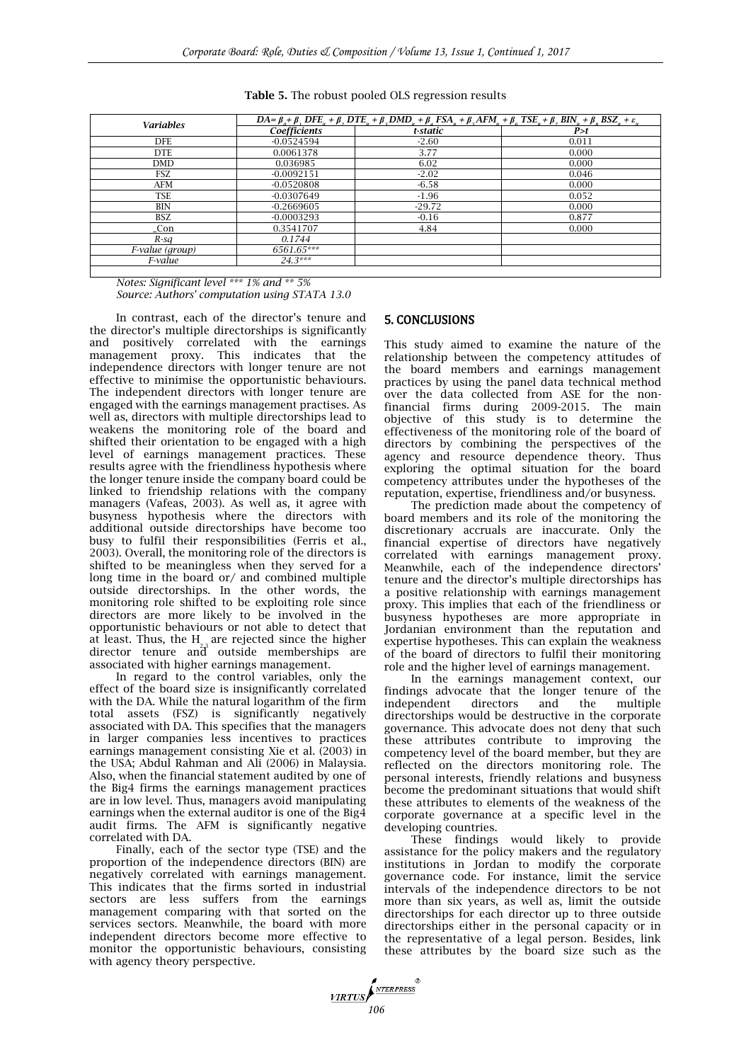| <b>Variables</b> | $DA = \beta_{\alpha} + \beta_{\gamma}$ DFE, $+ \beta_{\gamma}$ DTE, $+ \beta_{\gamma}$ DMD, $+ \beta_{\gamma}$ FSA, $+ \beta_{\gamma}$ AFM, $+ \beta_{\gamma}$ TSE, $+ \beta_{\gamma}$ BIN, $+ \beta_{\gamma}$ BSZ, $+ \varepsilon_{\gamma}$ |          |       |  |  |  |
|------------------|----------------------------------------------------------------------------------------------------------------------------------------------------------------------------------------------------------------------------------------------|----------|-------|--|--|--|
|                  | <b>Coefficients</b>                                                                                                                                                                                                                          | t-static | P > t |  |  |  |
| DFE.             | $-0.0524594$                                                                                                                                                                                                                                 | $-2.60$  | 0.011 |  |  |  |
| <b>DTE</b>       | 0.0061378                                                                                                                                                                                                                                    | 3.77     | 0.000 |  |  |  |
| <b>DMD</b>       | 0.036985                                                                                                                                                                                                                                     | 6.02     | 0.000 |  |  |  |
| <b>FSZ</b>       | $-0.0092151$                                                                                                                                                                                                                                 | $-2.02$  | 0.046 |  |  |  |
| AFM              | $-0.0520808$                                                                                                                                                                                                                                 | $-6.58$  | 0.000 |  |  |  |
| TSE              | $-0.0307649$                                                                                                                                                                                                                                 | $-1.96$  | 0.052 |  |  |  |
| <b>BIN</b>       | $-0.2669605$                                                                                                                                                                                                                                 | $-29.72$ | 0.000 |  |  |  |
| <b>BSZ</b>       | $-0.0003293$                                                                                                                                                                                                                                 | $-0.16$  | 0.877 |  |  |  |
| _Con             | 0.3541707                                                                                                                                                                                                                                    | 4.84     | 0.000 |  |  |  |
| $R$ -sa          | 0.1744                                                                                                                                                                                                                                       |          |       |  |  |  |
| F-value (group)  | 6561.65***                                                                                                                                                                                                                                   |          |       |  |  |  |
| F-value          | $24.3***$                                                                                                                                                                                                                                    |          |       |  |  |  |

**Table 5.** The robust pooled OLS regression results

*Notes: Significant level \*\*\* 1% and \*\* 5% Source: Authors' computation using STATA 13.0*

In contrast, each of the director's tenure and the director's multiple directorships is significantly and positively correlated with the earnings management proxy. This indicates that the independence directors with longer tenure are not effective to minimise the opportunistic behaviours. The independent directors with longer tenure are engaged with the earnings management practises. As well as, directors with multiple directorships lead to weakens the monitoring role of the board and shifted their orientation to be engaged with a high level of earnings management practices. These results agree with the friendliness hypothesis where the longer tenure inside the company board could be linked to friendship relations with the company managers [\(Vafeas, 2003\)](#page--1-0). As well as, it agree with busyness hypothesis where the directors with additional outside directorships have become too busy to fulfil their responsibilities [\(Ferris et al.,](#page--1-0)  [2003\)](#page--1-0). Overall, the monitoring role of the directors is shifted to be meaningless when they served for a long time in the board or/ and combined multiple outside directorships. In the other words, the monitoring role shifted to be exploiting role since directors are more likely to be involved in the opportunistic behaviours or not able to detect that at least. Thus, the  $H_{2,3}$  are rejected since the higher director tenure and outside memberships are associated with higher earnings management.

In regard to the control variables, only the effect of the board size is insignificantly correlated with the DA. While the natural logarithm of the firm total assets (FSZ) is significantly negatively associated with DA. This specifies that the managers in larger companies less incentives to practices earnings management consisting [Xie et al. \(2003\)](#page--1-0) in the USA; [Abdul Rahman and Ali \(2006\)](#page--1-0) in Malaysia. Also, when the financial statement audited by one of the Big4 firms the earnings management practices are in low level. Thus, managers avoid manipulating earnings when the external auditor is one of the Big4 audit firms. The AFM is significantly negative correlated with DA.

Finally, each of the sector type (TSE) and the proportion of the independence directors (BIN) are negatively correlated with earnings management. This indicates that the firms sorted in industrial sectors are less suffers from the earnings management comparing with that sorted on the services sectors. Meanwhile, the board with more independent directors become more effective to monitor the opportunistic behaviours, consisting with agency theory perspective.

## 5. CONCLUSIONS

This study aimed to examine the nature of the relationship between the competency attitudes of the board members and earnings management practices by using the panel data technical method over the data collected from ASE for the nonfinancial firms during 2009-2015. The main objective of this study is to determine the effectiveness of the monitoring role of the board of directors by combining the perspectives of the agency and resource dependence theory. Thus exploring the optimal situation for the board competency attributes under the hypotheses of the reputation, expertise, friendliness and/or busyness.

The prediction made about the competency of board members and its role of the monitoring the discretionary accruals are inaccurate. Only the financial expertise of directors have negatively correlated with earnings management proxy. Meanwhile, each of the independence directors' tenure and the director's multiple directorships has a positive relationship with earnings management proxy. This implies that each of the friendliness or busyness hypotheses are more appropriate in Jordanian environment than the reputation and expertise hypotheses. This can explain the weakness of the board of directors to fulfil their monitoring role and the higher level of earnings management.

In the earnings management context, our findings advocate that the longer tenure of the independent directors and the multiple directorships would be destructive in the corporate governance. This advocate does not deny that such these attributes contribute to improving the competency level of the board member, but they are reflected on the directors monitoring role. The personal interests, friendly relations and busyness become the predominant situations that would shift these attributes to elements of the weakness of the corporate governance at a specific level in the developing countries.

These findings would likely to provide assistance for the policy makers and the regulatory institutions in Jordan to modify the corporate governance code. For instance, limit the service intervals of the independence directors to be not more than six years, as well as, limit the outside directorships for each director up to three outside directorships either in the personal capacity or in the representative of a legal person. Besides, link these attributes by the board size such as the

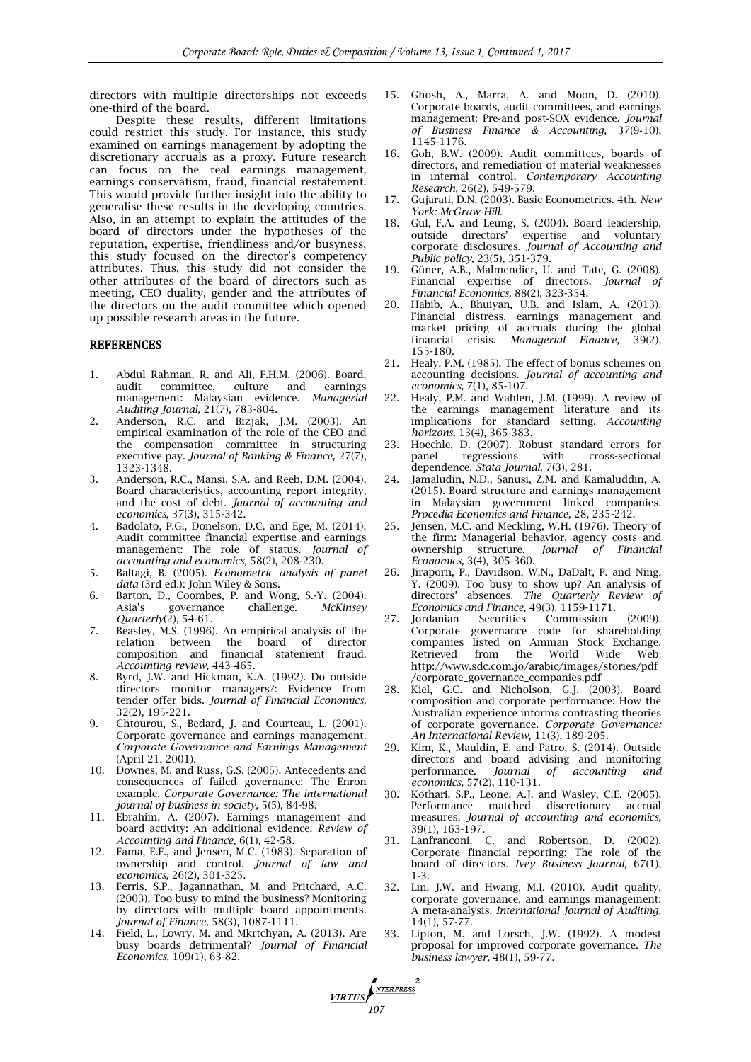directors with multiple directorships not exceeds one-third of the board.

Despite these results, different limitations could restrict this study. For instance, this study examined on earnings management by adopting the discretionary accruals as a proxy. Future research can focus on the real earnings management, earnings conservatism, fraud, financial restatement. This would provide further insight into the ability to generalise these results in the developing countries. Also, in an attempt to explain the attitudes of the board of directors under the hypotheses of the reputation, expertise, friendliness and/or busyness, this study focused on the director's competency attributes. Thus, this study did not consider the other attributes of the board of directors such as meeting, CEO duality, gender and the attributes of the directors on the audit committee which opened up possible research areas in the future.

### REFERENCES

- 1. Abdul Rahman, R. and Ali, F.H.M. (2006). Board, audit committee, culture and earnings management: Malaysian evidence. *Managerial Auditing Journal,* 21(7), 783-804.
- 2. Anderson, R.C. and Bizjak, J.M. (2003). An empirical examination of the role of the CEO and the compensation committee in structuring executive pay. *Journal of Banking & Finance,* 27(7), 1323-1348.
- 3. Anderson, R.C., Mansi, S.A. and Reeb, D.M. (2004). Board characteristics, accounting report integrity, and the cost of debt. *Journal of accounting and economics,* 37(3), 315-342.
- 4. Badolato, P.G., Donelson, D.C. and Ege, M. (2014). Audit committee financial expertise and earnings management: The role of status. *Journal of accounting and economics,* 58(2), 208-230.
- 5. Baltagi, B. (2005). *Econometric analysis of panel data* (3rd ed.): John Wiley & Sons.
- 6. Barton, D., Coombes, P. and Wong, S.-Y. (2004). Asia's governance challenge. *McKinsey Quarterly*(2), 54-61.
- 7. Beasley, M.S. (1996). An empirical analysis of the relation between the board of director composition and financial statement fraud. *Accounting review*, 443-465.
- 8. Byrd, J.W. and Hickman, K.A. (1992). Do outside directors monitor managers?: Evidence from tender offer bids. *Journal of Financial Economics,*  32(2), 195-221.
- 9. Chtourou, S., Bedard, J. and Courteau, L. (2001). Corporate governance and earnings management. *Corporate Governance and Earnings Management*  (April 21, 2001).
- 10. Downes, M. and Russ, G.S. (2005). Antecedents and consequences of failed governance: The Enron example. *Corporate Governance: The international journal of business in society,* 5(5), 84-98.
- 11. Ebrahim, A. (2007). Earnings management and board activity: An additional evidence. *Review of Accounting and Finance,* 6(1), 42-58.
- 12. Fama, E.F., and Jensen, M.C. (1983). Separation of ownership and control. *Journal of law and economics,* 26(2), 301-325.
- 13. Ferris, S.P., Jagannathan, M. and Pritchard, A.C. (2003). Too busy to mind the business? Monitoring by directors with multiple board appointments. *Journal of Finance,* 58(3), 1087-1111.
- 14. Field, L., Lowry, M. and Mkrtchyan, A. (2013). Are busy boards detrimental? *Journal of Financial Economics,* 109(1), 63-82.

*107 <u><i>107*</del> *107*</u>

- 15. Ghosh, A., Marra, A. and Moon, D. (2010). Corporate boards, audit committees, and earnings management: Pre‐and post‐SOX evidence. *Journal of Business Finance & Accounting,* 37(9‐10), 1145-1176.
- 16. Goh, B.W. (2009). Audit committees, boards of directors, and remediation of material weaknesses in internal control. *Contemporary Accounting Research,* 26(2), 549-579.
- 17. Gujarati, D.N. (2003). Basic Econometrics. 4th. *New York: McGraw-Hill*.
- 18. Gul, F.A. and Leung, S. (2004). Board leadership, outside directors' expertise and voluntary corporate disclosures. *Journal of Accounting and Public policy,* 23(5), 351-379.
- 19. Güner, A.B., Malmendier, U. and Tate, G. (2008). Financial expertise of directors. *Journal of Financial Economics,* 88(2), 323-354.
- 20. Habib, A., Bhuiyan, U.B. and Islam, A. (2013). Financial distress, earnings management and market pricing of accruals during the global financial crisis. *Managerial Finance,* 39(2), 155-180.
- 21. Healy, P.M. (1985). The effect of bonus schemes on accounting decisions. *Journal of accounting and economics,* 7(1), 85-107.
- 22. Healy, P.M. and Wahlen, J.M. (1999). A review of the earnings management literature and its implications for standard setting. *Accounting horizons,* 13(4), 365-383.
- 23. Hoechle, D. (2007). Robust standard errors for panel regressions with cross-sectional panel regressions with cross-sectional dependence. *Stata Journal,* 7(3), 281.
- 24. Jamaludin, N.D., Sanusi, Z.M. and Kamaluddin, A. (2015). Board structure and earnings management in Malaysian government linked companies. *Procedia Economics and Finance,* 28, 235-242.
- 25. Jensen, M.C. and Meckling, W.H. (1976). Theory of the firm: Managerial behavior, agency costs and ownership structure. *Journal of Financial Economics,* 3(4), 305-360.
- 26. Jiraporn, P., Davidson, W.N., DaDalt, P. and Ning, Y. (2009). Too busy to show up? An analysis of directors' absences. *The Quarterly Review of Economics and Finance,* 49(3), 1159-1171.
- 27. Jordanian Securities Commission (2009). Corporate governance code for shareholding companies listed on Amman Stock Exchange. Retrieved from the World Wide Web: [http://www.sdc.com.jo/arabic/images/stories/pdf](http://www.sdc.com.jo/arabic/images/stories/pdf/corporate_governance_companies.pdf) [/corporate\\_governance\\_companies.pdf](http://www.sdc.com.jo/arabic/images/stories/pdf/corporate_governance_companies.pdf)
- 28. Kiel, G.C. and Nicholson, G.J. (2003). Board composition and corporate performance: How the Australian experience informs contrasting theories of corporate governance. *Corporate Governance: An International Review,* 11(3), 189-205.
- Kim, K., Mauldin, E. and Patro, S. (2014). Outside directors and board advising and monitoring performance. *Journal of accounting and economics,* 57(2), 110-131.
- 30. Kothari, S.P., Leone, A.J. and Wasley, C.E. (2005). Performance matched discretionary accrual measures. *Journal of accounting and economics,*  39(1), 163-197.
- 31. Lanfranconi, C. and Robertson, D. (2002). Corporate financial reporting: The role of the board of directors. *Ivey Business Journal,* 67(1), 1-3.
- 32. Lin, J.W. and Hwang, M.I. (2010). Audit quality, corporate governance, and earnings management: A meta‐analysis. *International Journal of Auditing,*  14(1), 57-77.
- 33. Lipton, M. and Lorsch, J.W. (1992). A modest proposal for improved corporate governance. *The business lawyer,* 48(1), 59-77.